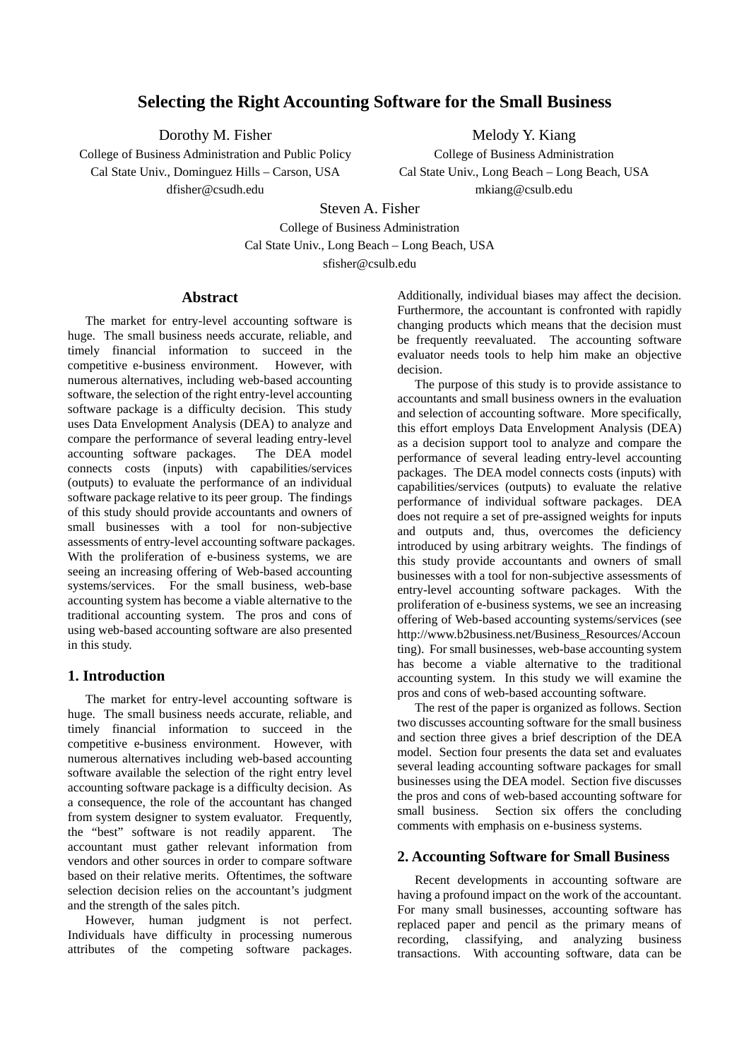# **Selecting the Right Accounting Software for the Small Business**

Dorothy M. Fisher

College of Business Administration and Public Policy Cal State Univ., Dominguez Hills – Carson, USA dfisher@csudh.edu

Melody Y. Kiang

College of Business Administration Cal State Univ., Long Beach – Long Beach, USA mkiang@csulb.edu

Steven A. Fisher College of Business Administration Cal State Univ., Long Beach – Long Beach, USA sfisher@csulb.edu

## **Abstract**

The market for entry-level accounting software is huge. The small business needs accurate, reliable, and timely financial information to succeed in the competitive e-business environment. However, with numerous alternatives, including web-based accounting software, the selection of the right entry-level accounting software package is a difficulty decision. This study uses Data Envelopment Analysis (DEA) to analyze and compare the performance of several leading entry-level<br>accounting software packages. The DEA model accounting software packages. connects costs (inputs) with capabilities/services (outputs) to evaluate the performance of an individual software package relative to its peer group. The findings of this study should provide accountants and owners of small businesses with a tool for non-subjective assessments of entry-level accounting software packages. With the proliferation of e-business systems, we are seeing an increasing offering of Web-based accounting systems/services. For the small business, web-base accounting system has become a viable alternative to the traditional accounting system. The pros and cons of using web-based accounting software are also presented in this study.

### **1. Introduction**

The market for entry-level accounting software is huge. The small business needs accurate, reliable, and timely financial information to succeed in the competitive e-business environment. However, with numerous alternatives including web-based accounting software available the selection of the right entry level accounting software package is a difficulty decision. As a consequence, the role of the accountant has changed from system designer to system evaluator. Frequently, the "best" software is not readily apparent. The accountant must gather relevant information from vendors and other sources in order to compare software based on their relative merits. Oftentimes, the software selection decision relies on the accountant's judgment and the strength of the sales pitch.

However, human judgment is not perfect. Individuals have difficulty in processing numerous attributes of the competing software packages. Additionally, individual biases may affect the decision. Furthermore, the accountant is confronted with rapidly changing products which means that the decision must be frequently reevaluated. The accounting software evaluator needs tools to help him make an objective decision.

The purpose of this study is to provide assistance to accountants and small business owners in the evaluation and selection of accounting software. More specifically, this effort employs Data Envelopment Analysis (DEA) as a decision support tool to analyze and compare the performance of several leading entry-level accounting packages. The DEA model connects costs (inputs) with capabilities/services (outputs) to evaluate the relative performance of individual software packages. DEA does not require a set of pre-assigned weights for inputs and outputs and, thus, overcomes the deficiency introduced by using arbitrary weights. The findings of this study provide accountants and owners of small businesses with a tool for non-subjective assessments of entry-level accounting software packages. With the proliferation of e-business systems, we see an increasing offering of Web-based accounting systems/services (see http://www.b2business.net/Business\_Resources/Accoun ting). For small businesses, web-base accounting system has become a viable alternative to the traditional accounting system. In this study we will examine the pros and cons of web-based accounting software.

The rest of the paper is organized as follows. Section two discusses accounting software for the small business and section three gives a brief description of the DEA model. Section four presents the data set and evaluates several leading accounting software packages for small businesses using the DEA model. Section five discusses the pros and cons of web-based accounting software for small business. Section six offers the concluding comments with emphasis on e-business systems.

# **2. Accounting Software for Small Business**

Recent developments in accounting software are having a profound impact on the work of the accountant. For many small businesses, accounting software has replaced paper and pencil as the primary means of recording, classifying, and analyzing business transactions. With accounting software, data can be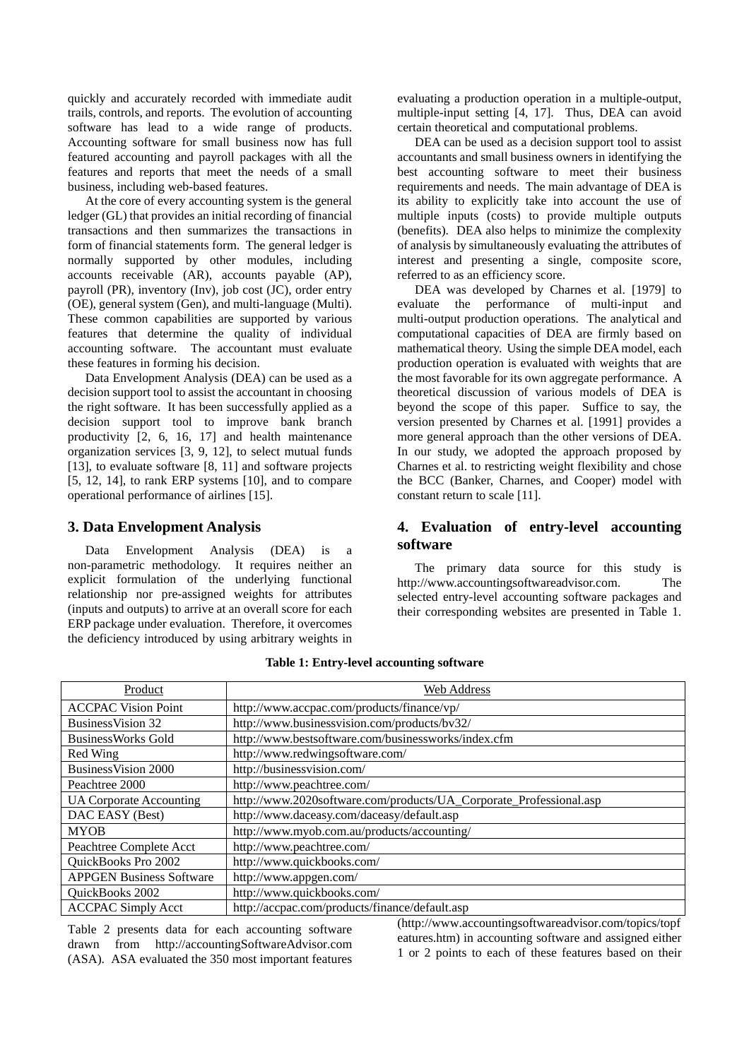quickly and accurately recorded with immediate audit trails, controls, and reports. The evolution of accounting software has lead to a wide range of products. Accounting software for small business now has full featured accounting and payroll packages with all the features and reports that meet the needs of a small business, including web-based features.

At the core of every accounting system is the general ledger (GL) that provides an initial recording of financial transactions and then summarizes the transactions in form of financial statements form. The general ledger is normally supported by other modules, including accounts receivable (AR), accounts payable (AP), payroll (PR), inventory (Inv), job cost (JC), order entry (OE), general system (Gen), and multi-language (Multi). These common capabilities are supported by various features that determine the quality of individual accounting software. The accountant must evaluate these features in forming his decision.

Data Envelopment Analysis (DEA) can be used as a decision support tool to assist the accountant in choosing the right software. It has been successfully applied as a decision support tool to improve bank branch productivity [2, 6, 16, 17] and health maintenance organization services [3, 9, 12], to select mutual funds [13], to evaluate software [8, 11] and software projects [5, 12, 14], to rank ERP systems [10], and to compare operational performance of airlines [15].

### **3. Data Envelopment Analysis**

Data Envelopment Analysis (DEA) is a non-parametric methodology. It requires neither an explicit formulation of the underlying functional relationship nor pre-assigned weights for attributes (inputs and outputs) to arrive at an overall score for each ERP package under evaluation. Therefore, it overcomes the deficiency introduced by using arbitrary weights in evaluating a production operation in a multiple-output, multiple-input setting [4, 17]. Thus, DEA can avoid certain theoretical and computational problems.

DEA can be used as a decision support tool to assist accountants and small business owners in identifying the best accounting software to meet their business requirements and needs. The main advantage of DEA is its ability to explicitly take into account the use of multiple inputs (costs) to provide multiple outputs (benefits). DEA also helps to minimize the complexity of analysis by simultaneously evaluating the attributes of interest and presenting a single, composite score, referred to as an efficiency score.

DEA was developed by Charnes et al. [1979] to evaluate the performance of multi-input and multi-output production operations. The analytical and computational capacities of DEA are firmly based on mathematical theory. Using the simple DEA model, each production operation is evaluated with weights that are the most favorable for its own aggregate performance. A theoretical discussion of various models of DEA is beyond the scope of this paper. Suffice to say, the version presented by Charnes et al. [1991] provides a more general approach than the other versions of DEA. In our study, we adopted the approach proposed by Charnes et al. to restricting weight flexibility and chose the BCC (Banker, Charnes, and Cooper) model with constant return to scale [11].

# **4. Evaluation of entry-level accounting software**

The primary data source for this study is http://www.accountingsoftwareadvisor.com. The selected entry-level accounting software packages and their corresponding websites are presented in Table 1.

| Product                         | Web Address                                                        |
|---------------------------------|--------------------------------------------------------------------|
| <b>ACCPAC Vision Point</b>      | http://www.accpac.com/products/finance/vp/                         |
| <b>BusinessVision 32</b>        | http://www.businessvision.com/products/bv32/                       |
| <b>BusinessWorks Gold</b>       | http://www.bestsoftware.com/businessworks/index.cfm                |
| Red Wing                        | http://www.redwingsoftware.com/                                    |
| BusinessVision 2000             | http://businessvision.com/                                         |
| Peachtree 2000                  | http://www.peachtree.com/                                          |
| <b>UA Corporate Accounting</b>  | http://www.2020software.com/products/UA_Corporate_Professional.asp |
| DAC EASY (Best)                 | http://www.daceasy.com/daceasy/default.asp                         |
| <b>MYOB</b>                     | http://www.myob.com.au/products/accounting/                        |
| Peachtree Complete Acct         | http://www.peachtree.com/                                          |
| QuickBooks Pro 2002             | http://www.quickbooks.com/                                         |
| <b>APPGEN Business Software</b> | http://www.appgen.com/                                             |
| QuickBooks 2002                 | http://www.quickbooks.com/                                         |
| <b>ACCPAC Simply Acct</b>       | http://accpac.com/products/finance/default.asp                     |

#### **Table 1: Entry-level accounting software**

Table 2 presents data for each accounting software drawn from http://accountingSoftwareAdvisor.com (ASA). ASA evaluated the 350 most important features (http://www.accountingsoftwareadvisor.com/topics/topf eatures.htm) in accounting software and assigned either 1 or 2 points to each of these features based on their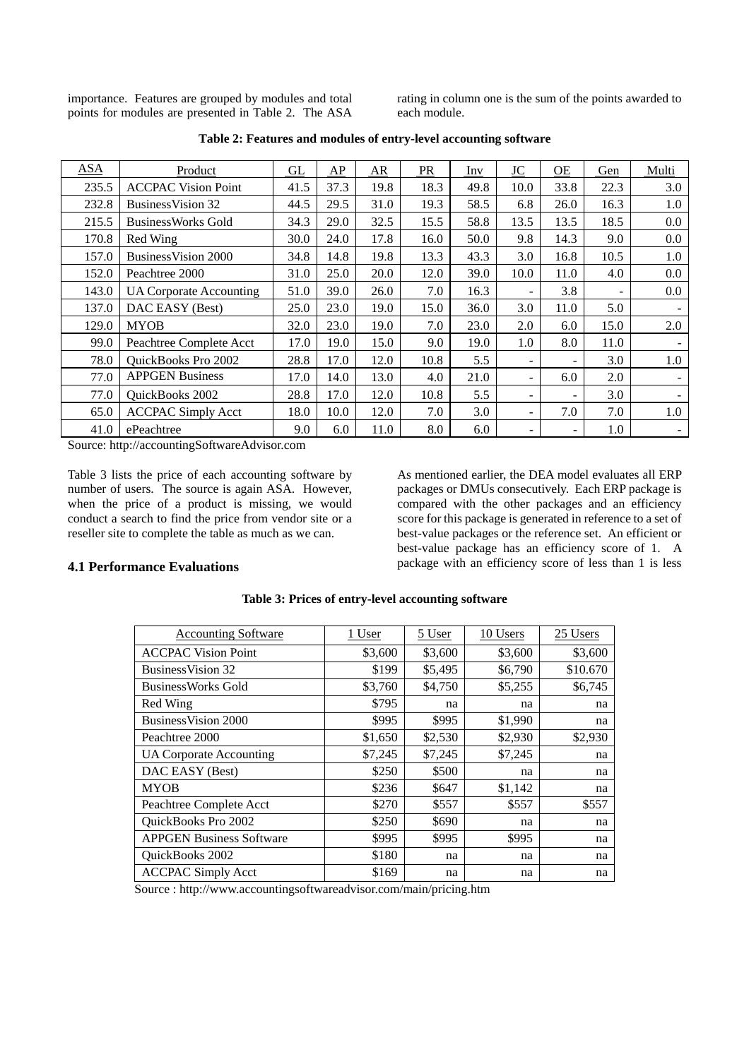importance. Features are grouped by modules and total points for modules are presented in Table 2. The ASA rating in column one is the sum of the points awarded to each module.

| <b>ASA</b> | Product                        | GL   | AP   | <b>AR</b> | <b>PR</b> | Inv  | <b>JC</b> | $\underline{\text{OE}}$ | Gen                      | Multi |
|------------|--------------------------------|------|------|-----------|-----------|------|-----------|-------------------------|--------------------------|-------|
| 235.5      | <b>ACCPAC Vision Point</b>     | 41.5 | 37.3 | 19.8      | 18.3      | 49.8 | 10.0      | 33.8                    | 22.3                     | 3.0   |
| 232.8      | Business Vision 32             | 44.5 | 29.5 | 31.0      | 19.3      | 58.5 | 6.8       | 26.0                    | 16.3                     | 1.0   |
| 215.5      | <b>BusinessWorks Gold</b>      | 34.3 | 29.0 | 32.5      | 15.5      | 58.8 | 13.5      | 13.5                    | 18.5                     | 0.0   |
| 170.8      | Red Wing                       | 30.0 | 24.0 | 17.8      | 16.0      | 50.0 | 9.8       | 14.3                    | 9.0                      | 0.0   |
| 157.0      | Business Vision 2000           | 34.8 | 14.8 | 19.8      | 13.3      | 43.3 | 3.0       | 16.8                    | 10.5                     | 1.0   |
| 152.0      | Peachtree 2000                 | 31.0 | 25.0 | 20.0      | 12.0      | 39.0 | 10.0      | 11.0                    | 4.0                      | 0.0   |
| 143.0      | <b>UA Corporate Accounting</b> | 51.0 | 39.0 | 26.0      | 7.0       | 16.3 |           | 3.8                     | $\overline{\phantom{a}}$ | 0.0   |
| 137.0      | DAC EASY (Best)                | 25.0 | 23.0 | 19.0      | 15.0      | 36.0 | 3.0       | 11.0                    | 5.0                      |       |
| 129.0      | <b>MYOB</b>                    | 32.0 | 23.0 | 19.0      | 7.0       | 23.0 | 2.0       | 6.0                     | 15.0                     | 2.0   |
| 99.0       | Peachtree Complete Acct        | 17.0 | 19.0 | 15.0      | 9.0       | 19.0 | 1.0       | 8.0                     | 11.0                     |       |
| 78.0       | QuickBooks Pro 2002            | 28.8 | 17.0 | 12.0      | 10.8      | 5.5  | Ξ.        |                         | 3.0                      | 1.0   |
| 77.0       | <b>APPGEN Business</b>         | 17.0 | 14.0 | 13.0      | 4.0       | 21.0 | -         | 6.0                     | 2.0                      |       |
| 77.0       | QuickBooks 2002                | 28.8 | 17.0 | 12.0      | 10.8      | 5.5  | Ξ.        |                         | 3.0                      |       |
| 65.0       | <b>ACCPAC Simply Acct</b>      | 18.0 | 10.0 | 12.0      | 7.0       | 3.0  | -         | 7.0                     | 7.0                      | 1.0   |
| 41.0       | ePeachtree                     | 9.0  | 6.0  | 11.0      | 8.0       | 6.0  | Ξ.        |                         | 1.0                      | ۰.    |

**Table 2: Features and modules of entry-level accounting software** 

Source: http://accountingSoftwareAdvisor.com

Table 3 lists the price of each accounting software by number of users. The source is again ASA. However, when the price of a product is missing, we would conduct a search to find the price from vendor site or a reseller site to complete the table as much as we can.

As mentioned earlier, the DEA model evaluates all ERP packages or DMUs consecutively. Each ERP package is compared with the other packages and an efficiency score for this package is generated in reference to a set of best-value packages or the reference set. An efficient or best-value package has an efficiency score of 1. A package with an efficiency score of less than 1 is less

## **4.1 Performance Evaluations**

| <b>Accounting Software</b>      | <u>1 User</u> | 5 User  | 10 Users | 25 Users |
|---------------------------------|---------------|---------|----------|----------|
| <b>ACCPAC Vision Point</b>      | \$3,600       | \$3,600 | \$3,600  | \$3,600  |
| <b>BusinessVision 32</b>        | \$199         | \$5,495 | \$6,790  | \$10.670 |
| <b>BusinessWorks Gold</b>       | \$3,760       | \$4,750 | \$5,255  | \$6,745  |
| Red Wing                        | \$795         | na      | na       | na       |
| <b>BusinessVision 2000</b>      | \$995         | \$995   | \$1,990  | na       |
| Peachtree 2000                  | \$1,650       | \$2,530 | \$2,930  | \$2,930  |
| UA Corporate Accounting         | \$7,245       | \$7,245 | \$7,245  | na       |
| DAC EASY (Best)                 | \$250         | \$500   | na       | na       |
| <b>MYOB</b>                     | \$236         | \$647   | \$1,142  | na       |
| Peachtree Complete Acct         | \$270         | \$557   | \$557    | \$557    |
| QuickBooks Pro 2002             | \$250         | \$690   | na       | na       |
| <b>APPGEN Business Software</b> | \$995         | \$995   | \$995    | na       |
| QuickBooks 2002                 | \$180         | na      | na       | na       |
| <b>ACCPAC Simply Acct</b>       | \$169         | na      | na       | na       |

### **Table 3: Prices of entry-level accounting software**

Source : http://www.accountingsoftwareadvisor.com/main/pricing.htm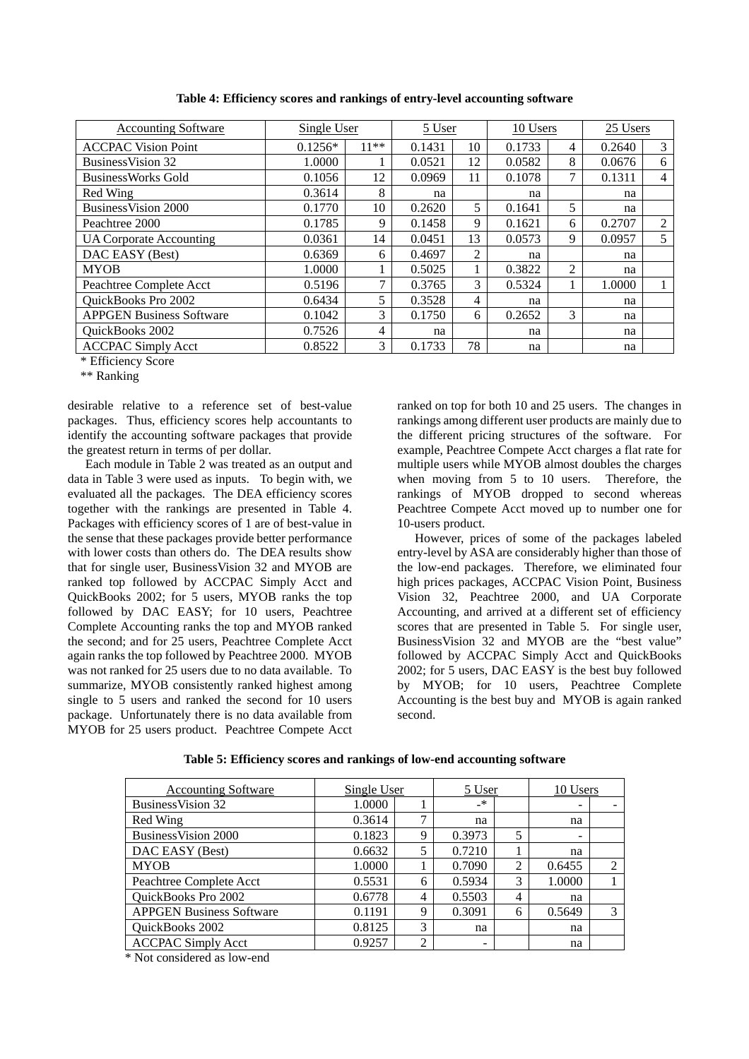| <b>Accounting Software</b>      | Single User |        | 5 User |    | 10 Users |   | 25 Users |   |
|---------------------------------|-------------|--------|--------|----|----------|---|----------|---|
| <b>ACCPAC Vision Point</b>      | $0.1256*$   | $11**$ | 0.1431 | 10 | 0.1733   | 4 | 0.2640   | 3 |
| <b>BusinessVision 32</b>        | 1.0000      |        | 0.0521 | 12 | 0.0582   | 8 | 0.0676   | 6 |
| <b>BusinessWorks Gold</b>       | 0.1056      | 12     | 0.0969 | 11 | 0.1078   | 7 | 0.1311   | 4 |
| Red Wing                        | 0.3614      | 8      | na     |    | na       |   | na       |   |
| Business Vision 2000            | 0.1770      | 10     | 0.2620 | 5  | 0.1641   | 5 | na       |   |
| Peachtree 2000                  | 0.1785      | 9      | 0.1458 | 9  | 0.1621   | 6 | 0.2707   | 2 |
| <b>UA Corporate Accounting</b>  | 0.0361      | 14     | 0.0451 | 13 | 0.0573   | 9 | 0.0957   | 5 |
| DAC EASY (Best)                 | 0.6369      | 6      | 0.4697 | 2  | na       |   | na       |   |
| <b>MYOB</b>                     | 1.0000      |        | 0.5025 |    | 0.3822   | 2 | na       |   |
| Peachtree Complete Acct         | 0.5196      | 7      | 0.3765 | 3  | 0.5324   | 1 | 1.0000   |   |
| QuickBooks Pro 2002             | 0.6434      | 5      | 0.3528 | 4  | na       |   | na       |   |
| <b>APPGEN Business Software</b> | 0.1042      | 3      | 0.1750 | 6  | 0.2652   | 3 | na       |   |
| QuickBooks 2002                 | 0.7526      | 4      | na     |    | na       |   | na       |   |
| <b>ACCPAC Simply Acct</b>       | 0.8522      | 3      | 0.1733 | 78 | na       |   | na       |   |

**Table 4: Efficiency scores and rankings of entry-level accounting software** 

\* Efficiency Score

\*\* Ranking

desirable relative to a reference set of best-value packages. Thus, efficiency scores help accountants to identify the accounting software packages that provide the greatest return in terms of per dollar.

Each module in Table 2 was treated as an output and data in Table 3 were used as inputs. To begin with, we evaluated all the packages. The DEA efficiency scores together with the rankings are presented in Table 4. Packages with efficiency scores of 1 are of best-value in the sense that these packages provide better performance with lower costs than others do. The DEA results show that for single user, BusinessVision 32 and MYOB are ranked top followed by ACCPAC Simply Acct and QuickBooks 2002; for 5 users, MYOB ranks the top followed by DAC EASY; for 10 users, Peachtree Complete Accounting ranks the top and MYOB ranked the second; and for 25 users, Peachtree Complete Acct again ranks the top followed by Peachtree 2000. MYOB was not ranked for 25 users due to no data available. To summarize, MYOB consistently ranked highest among single to 5 users and ranked the second for 10 users package. Unfortunately there is no data available from MYOB for 25 users product. Peachtree Compete Acct ranked on top for both 10 and 25 users. The changes in rankings among different user products are mainly due to the different pricing structures of the software. For example, Peachtree Compete Acct charges a flat rate for multiple users while MYOB almost doubles the charges when moving from 5 to 10 users. Therefore, the rankings of MYOB dropped to second whereas Peachtree Compete Acct moved up to number one for 10-users product.

However, prices of some of the packages labeled entry-level by ASA are considerably higher than those of the low-end packages. Therefore, we eliminated four high prices packages, ACCPAC Vision Point, Business Vision 32, Peachtree 2000, and UA Corporate Accounting, and arrived at a different set of efficiency scores that are presented in Table 5. For single user, BusinessVision 32 and MYOB are the "best value" followed by ACCPAC Simply Acct and QuickBooks 2002; for 5 users, DAC EASY is the best buy followed by MYOB; for 10 users, Peachtree Complete Accounting is the best buy and MYOB is again ranked second.

| <b>Accounting Software</b>      | Single User |   | 5 User |                | 10 Users                 |           |
|---------------------------------|-------------|---|--------|----------------|--------------------------|-----------|
| Business Vision 32              | 1.0000      |   | $-$ *  |                | -                        |           |
| Red Wing                        | 0.3614      | ┑ | na     |                | na                       |           |
| Business Vision 2000            | 0.1823      | 9 | 0.3973 | 5              | $\overline{\phantom{0}}$ |           |
| DAC EASY (Best)                 | 0.6632      | 5 | 0.7210 |                | na                       |           |
| <b>MYOB</b>                     | 1.0000      |   | 0.7090 | $\mathfrak{D}$ | 0.6455                   | $\bigcap$ |
| Peachtree Complete Acct         | 0.5531      | 6 | 0.5934 | 3              | 1.0000                   |           |
| QuickBooks Pro 2002             | 0.6778      | 4 | 0.5503 | 4              | na                       |           |
| <b>APPGEN Business Software</b> | 0.1191      | 9 | 0.3091 | 6              | 0.5649                   | 3         |
| QuickBooks 2002                 | 0.8125      | 3 | na     |                | na                       |           |
| <b>ACCPAC Simply Acct</b>       | 0.9257      | 2 | -      |                | na                       |           |

**Table 5: Efficiency scores and rankings of low-end accounting software** 

\* Not considered as low-end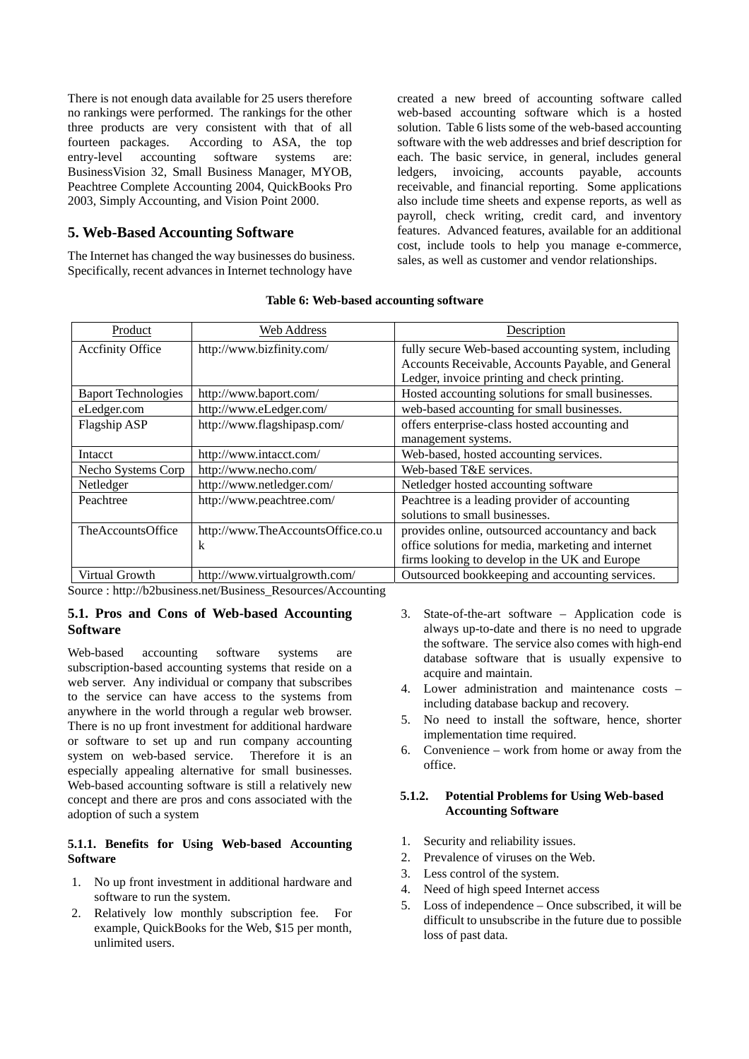There is not enough data available for 25 users therefore no rankings were performed. The rankings for the other three products are very consistent with that of all fourteen packages. According to ASA, the top entry-level accounting software systems are: BusinessVision 32, Small Business Manager, MYOB, Peachtree Complete Accounting 2004, QuickBooks Pro 2003, Simply Accounting, and Vision Point 2000.

# **5. Web-Based Accounting Software**

The Internet has changed the way businesses do business. Specifically, recent advances in Internet technology have

created a new breed of accounting software called web-based accounting software which is a hosted solution. Table 6 lists some of the web-based accounting software with the web addresses and brief description for each. The basic service, in general, includes general ledgers, invoicing, accounts payable, accounts receivable, and financial reporting. Some applications also include time sheets and expense reports, as well as payroll, check writing, credit card, and inventory features. Advanced features, available for an additional cost, include tools to help you manage e-commerce, sales, as well as customer and vendor relationships.

| Product                    | Web Address                       | Description                                         |
|----------------------------|-----------------------------------|-----------------------------------------------------|
| <b>Accfinity Office</b>    | http://www.bizfinity.com/         | fully secure Web-based accounting system, including |
|                            |                                   | Accounts Receivable, Accounts Payable, and General  |
|                            |                                   | Ledger, invoice printing and check printing.        |
| <b>Baport Technologies</b> | http://www.baport.com/            | Hosted accounting solutions for small businesses.   |
| eLedger.com                | http://www.eLedger.com/           | web-based accounting for small businesses.          |
| Flagship ASP               | http://www.flagshipasp.com/       | offers enterprise-class hosted accounting and       |
|                            |                                   | management systems.                                 |
| Intacct                    | http://www.intacct.com/           | Web-based, hosted accounting services.              |
| Necho Systems Corp         | http://www.necho.com/             | Web-based T&E services.                             |
| Netledger                  | http://www.netledger.com/         | Netledger hosted accounting software                |
| Peachtree                  | http://www.peachtree.com/         | Peachtree is a leading provider of accounting       |
|                            |                                   | solutions to small businesses.                      |
| <b>TheAccountsOffice</b>   | http://www.TheAccountsOffice.co.u | provides online, outsourced accountancy and back    |
|                            | k                                 | office solutions for media, marketing and internet  |
|                            |                                   | firms looking to develop in the UK and Europe       |
| Virtual Growth             | http://www.virtualgrowth.com/     | Outsourced bookkeeping and accounting services.     |

#### **Table 6: Web-based accounting software**

Source : http://b2business.net/Business\_Resources/Accounting

### **5.1. Pros and Cons of Web-based Accounting Software**

Web-based accounting software systems are subscription-based accounting systems that reside on a web server. Any individual or company that subscribes to the service can have access to the systems from anywhere in the world through a regular web browser. There is no up front investment for additional hardware or software to set up and run company accounting system on web-based service. Therefore it is an especially appealing alternative for small businesses. Web-based accounting software is still a relatively new concept and there are pros and cons associated with the adoption of such a system

### **5.1.1. Benefits for Using Web-based Accounting Software**

- 1. No up front investment in additional hardware and software to run the system.
- 2. Relatively low monthly subscription fee. For example, QuickBooks for the Web, \$15 per month, unlimited users.
- 3. State-of-the-art software Application code is always up-to-date and there is no need to upgrade the software. The service also comes with high-end database software that is usually expensive to acquire and maintain.
- 4. Lower administration and maintenance costs including database backup and recovery.
- 5. No need to install the software, hence, shorter implementation time required.
- 6. Convenience work from home or away from the office.

#### **5.1.2. Potential Problems for Using Web-based Accounting Software**

- 1. Security and reliability issues.
- 2. Prevalence of viruses on the Web.
- 3. Less control of the system.
- 4. Need of high speed Internet access
- 5. Loss of independence Once subscribed, it will be difficult to unsubscribe in the future due to possible loss of past data.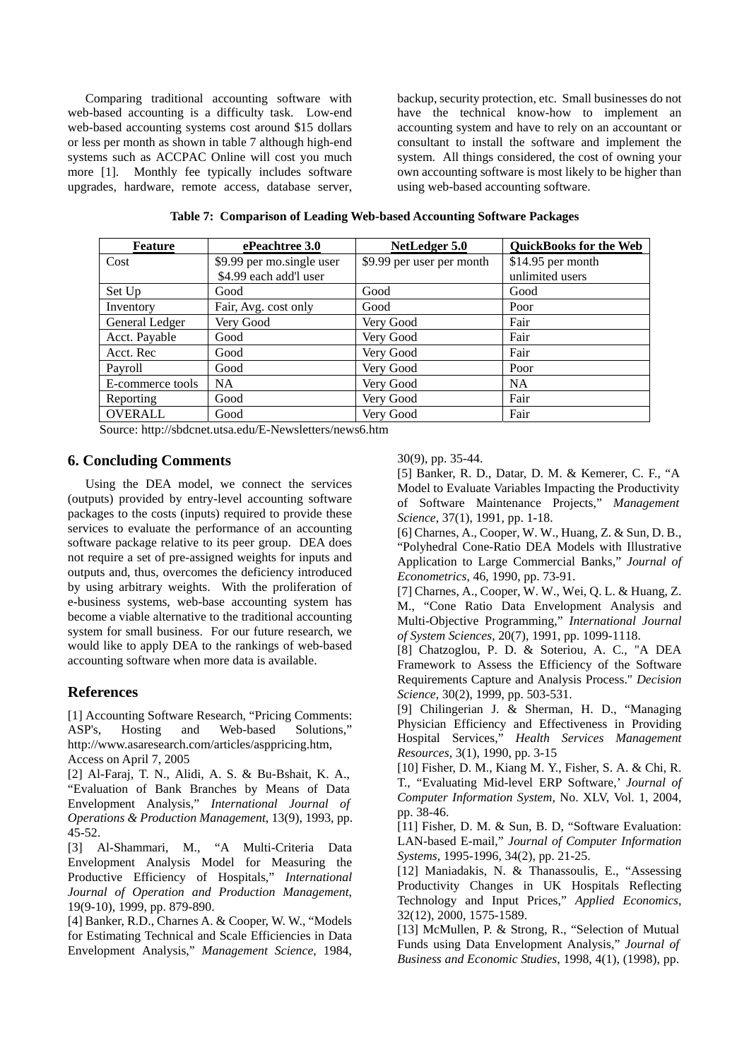Comparing traditional accounting software with web-based accounting is a difficulty task. Low-end web-based accounting systems cost around \$15 dollars or less per month as shown in table 7 although high-end systems such as ACCPAC Online will cost you much more [1]. Monthly fee typically includes software upgrades, hardware, remote access, database server, backup, security protection, etc. Small businesses do not have the technical know-how to implement an accounting system and have to rely on an accountant or consultant to install the software and implement the system. All things considered, the cost of owning your own accounting software is most likely to be higher than using web-based accounting software.

| <b>Feature</b>   | ePeachtree 3.0            | NetLedger 5.0             | <b>QuickBooks for the Web</b> |
|------------------|---------------------------|---------------------------|-------------------------------|
| Cost             | \$9.99 per mo.single user | \$9.99 per user per month | $$14.95$ per month            |
|                  | \$4.99 each add'l user    |                           | unlimited users               |
| Set Up           | Good                      | Good                      | Good                          |
| Inventory        | Fair, Avg. cost only      | Good                      | Poor                          |
| General Ledger   | Very Good                 | Very Good                 | Fair                          |
| Acct. Payable    | Good                      | Very Good                 | Fair                          |
| Acct. Rec        | Good                      | Very Good                 | Fair                          |
| Payroll          | Good                      | Very Good                 | Poor                          |
| E-commerce tools | <b>NA</b>                 | Very Good                 | <b>NA</b>                     |
| Reporting        | Good                      | Very Good                 | Fair                          |
| OVERALL          | Good                      | Very Good                 | Fair                          |

**Table 7: Comparison of Leading Web-based Accounting Software Packages** 

Source: http://sbdcnet.utsa.edu/E-Newsletters/news6.htm

## **6. Concluding Comments**

Using the DEA model, we connect the services (outputs) provided by entry-level accounting software packages to the costs (inputs) required to provide these services to evaluate the performance of an accounting software package relative to its peer group. DEA does not require a set of pre-assigned weights for inputs and outputs and, thus, overcomes the deficiency introduced by using arbitrary weights. With the proliferation of e-business systems, web-base accounting system has become a viable alternative to the traditional accounting system for small business. For our future research, we would like to apply DEA to the rankings of web-based accounting software when more data is available.

# **References**

[1] Accounting Software Research, "Pricing Comments: ASP's, Hosting and Web-based Solutions," http://www.asaresearch.com/articles/asppricing.htm, Access on April 7, 2005

[2] Al-Faraj, T. N., Alidi, A. S. & Bu-Bshait, K. A., "Evaluation of Bank Branches by Means of Data Envelopment Analysis," *International Journal of Operations & Production Management*, 13(9), 1993, pp. 45-52.

[3] Al-Shammari, M., "A Multi-Criteria Data Envelopment Analysis Model for Measuring the Productive Efficiency of Hospitals," *International Journal of Operation and Production Management*, 19(9-10), 1999, pp. 879-890.

[4] Banker, R.D., Charnes A. & Cooper, W. W., "Models for Estimating Technical and Scale Efficiencies in Data Envelopment Analysis," *Management Science*, 1984, 30(9), pp. 35-44.

[5] Banker, R. D., Datar, D. M. & Kemerer, C. F., "A Model to Evaluate Variables Impacting the Productivity of Software Maintenance Projects," *Management Science*, 37(1), 1991, pp. 1-18.

[6] Charnes, A., Cooper, W. W., Huang, Z. & Sun, D. B., "Polyhedral Cone-Ratio DEA Models with Illustrative Application to Large Commercial Banks," *Journal of Econometrics*, 46, 1990, pp. 73-91.

[7] Charnes, A., Cooper, W. W., Wei, Q. L. & Huang, Z. M., "Cone Ratio Data Envelopment Analysis and Multi-Objective Programming," *International Journal of System Sciences*, 20(7), 1991, pp. 1099-1118.

[8] Chatzoglou, P. D. & Soteriou, A. C., "A DEA Framework to Assess the Efficiency of the Software Requirements Capture and Analysis Process." *Decision Science*, 30(2), 1999, pp. 503-531.

[9] Chilingerian J. & Sherman, H. D., "Managing Physician Efficiency and Effectiveness in Providing Hospital Services," *Health Services Management Resources*, 3(1), 1990, pp. 3-15

[10] Fisher, D. M., Kiang M. Y., Fisher, S. A. & Chi, R. T., "Evaluating Mid-level ERP Software,' *Journal of Computer Information System,* No. XLV, Vol. 1, 2004, pp. 38-46.

[11] Fisher, D. M. & Sun, B. D, "Software Evaluation: LAN-based E-mail," *Journal of Computer Information Systems,* 1995-1996*,* 34(2), pp. 21-25.

[12] Maniadakis, N. & Thanassoulis, E., "Assessing Productivity Changes in UK Hospitals Reflecting Technology and Input Prices," *Applied Economics*, 32(12), 2000, 1575-1589.

[13] McMullen, P. & Strong, R., "Selection of Mutual Funds using Data Envelopment Analysis," *Journal of Business and Economic Studies*, 1998, 4(1), (1998), pp.